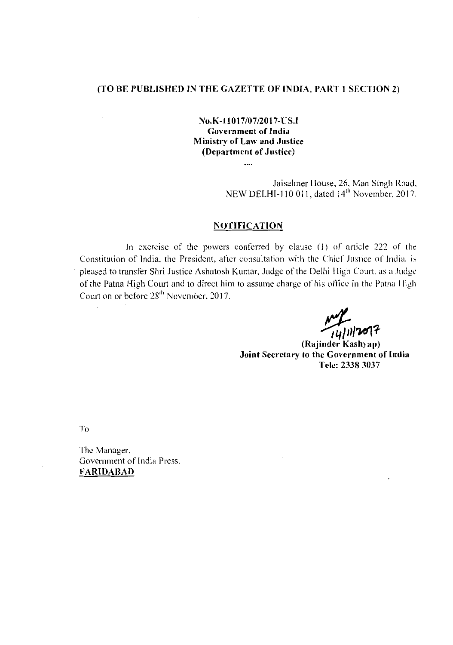## (TO BE PUBLISHED IN THE GAZETTE OF INDIA, PART 1 SECTION 2)

# No.K-llOI 7/07/201 7-US.I Government of India Ministry of Law and Justice (Department of Justice)

....

Jaisalmer House, 26, Man Singh Road. NEW DELHI-110 011, dated 14<sup>th</sup> November. 2017.

## **NOTIFICATION**

In exercise of the powers conferred by clause (I) of article 222 of the Constitution of India, the President, after consultation with the Chief Justice of India, is pleased to transfer Shri Justice Ashutosh Kumar, Judge of the Delhi Iligh Court. as a Judge of the Patna High Court and to direct him to assume charge of his office in the Patna High Court on or before 28<sup>th</sup> November, 2017.

*.!(f,;,1*'WI1

(Rajinder Kashyap) Joint Secretary to the Government of India Tele: 23383037

To

 $\bar{z}$ 

The Manager, Government of India Press. FARIDABAD